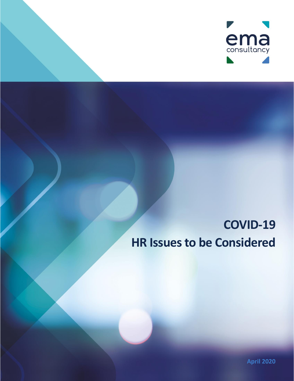

# **COVID-19 HR Issues to be Considered**

**April 2020**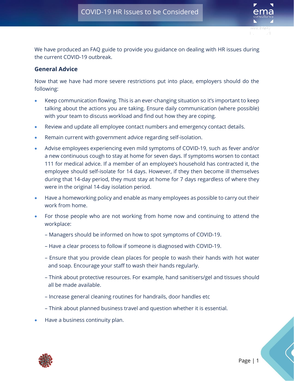COVID-19 HR Issues to be considered



We have produced an FAQ guide to provide you guidance on dealing with HR issues during the current COVID-19 outbreak.

#### **General Advice**

Now that we have had more severe restrictions put into place, employers should do the following:

- Keep communication flowing. This is an ever-changing situation so it's important to keep talking about the actions you are taking. Ensure daily communication (where possible) with your team to discuss workload and find out how they are coping.
- Review and update all employee contact numbers and emergency contact details.
- Remain current with government advice regarding self-isolation.
- Advise employees experiencing even mild symptoms of COVID-19, such as fever and/or a new continuous cough to stay at home for seven days. If symptoms worsen to contact 111 for medical advice. If a member of an employee's household has contracted it, the employee should self-isolate for 14 days. However, if they then become ill themselves during that 14-day period, they must stay at home for 7 days regardless of where they were in the original 14-day isolation period.
- Have a homeworking policy and enable as many employees as possible to carry out their work from home.
- For those people who are not working from home now and continuing to attend the workplace:
	- Managers should be informed on how to spot symptoms of COVID-19.
	- Have a clear process to follow if someone is diagnosed with COVID-19.
	- Ensure that you provide clean places for people to wash their hands with hot water and soap. Encourage your staff to wash their hands regularly.
	- Think about protective resources. For example, hand sanitisers/gel and tissues should all be made available.
	- Increase general cleaning routines for handrails, door handles etc
	- Think about planned business travel and question whether it is essential.
- Have a business continuity plan.

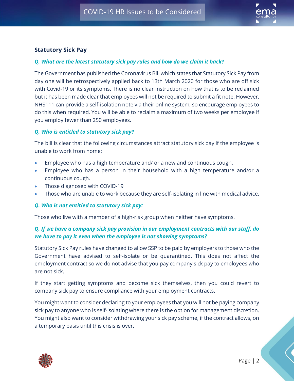

#### **Statutory Sick Pay**

#### *Q. What are the latest statutory sick pay rules and how do we claim it back?*

The Government has published the Coronavirus Bill which states that Statutory Sick Pay from day one will be retrospectively applied back to 13th March 2020 for those who are off sick with Covid-19 or its symptoms. There is no clear instruction on how that is to be reclaimed but it has been made clear that employees will not be required to submit a fit note. However, NHS111 can provide a self-isolation note via their online system, so encourage employees to do this when required. You will be able to reclaim a maximum of two weeks per employee if you employ fewer than 250 employees.

#### *Q. Who is entitled to statutory sick pay?*

The bill is clear that the following circumstances attract statutory sick pay if the employee is unable to work from home:

- Employee who has a high temperature and/ or a new and continuous cough.
- Employee who has a person in their household with a high temperature and/or a continuous cough.
- Those diagnosed with COVID-19
- Those who are unable to work because they are self-isolating in line with medical advice.

#### *Q. Who is not entitled to statutory sick pay:*

Those who live with a member of a high-risk group when neither have symptoms.

#### *Q. If we have a company sick pay provision in our employment contracts with our staff, do we have to pay it even when the employee is not showing symptoms?*

Statutory Sick Pay rules have changed to allow SSP to be paid by employers to those who the Government have advised to self-isolate or be quarantined. This does not affect the employment contract so we do not advise that you pay company sick pay to employees who are not sick.

If they start getting symptoms and become sick themselves, then you could revert to company sick pay to ensure compliance with your employment contracts.

You might want to consider declaring to your employees that you will not be paying company sick pay to anyone who is self-isolating where there is the option for management discretion. You might also want to consider withdrawing your sick pay scheme, if the contract allows, on a temporary basis until this crisis is over.

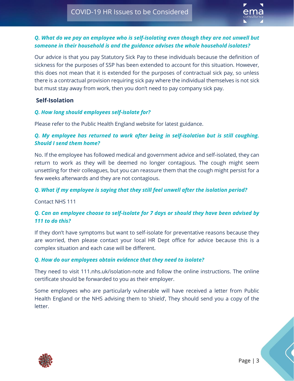

#### *Q. What do we pay an employee who is self-isolating even though they are not unwell but someone in their household is and the guidance advises the whole household isolates?*

Our advice is that you pay Statutory Sick Pay to these individuals because the definition of sickness for the purposes of SSP has been extended to account for this situation. However, this does not mean that it is extended for the purposes of contractual sick pay, so unless there is a contractual provision requiring sick pay where the individual themselves is not sick but must stay away from work, then you don't need to pay company sick pay.

#### **Self-Isolation**

#### *Q. How long should employees self-isolate for?*

Please refer to the Public Health England website for latest guidance.

#### *Q. My employee has returned to work after being in self-isolation but is still coughing. Should I send them home?*

No. If the employee has followed medical and government advice and self-isolated, they can return to work as they will be deemed no longer contagious. The cough might seem unsettling for their colleagues, but you can reassure them that the cough might persist for a few weeks afterwards and they are not contagious.

#### *Q. What if my employee is saying that they still feel unwell after the isolation period?*

Contact NHS 111

#### *Q. Can an employee choose to self-isolate for 7 days or should they have been advised by 111 to do this?*

If they don't have symptoms but want to self-isolate for preventative reasons because they are worried, then please contact your local HR Dept office for advice because this is a complex situation and each case will be different.

#### *Q. How do our employees obtain evidence that they need to isolate?*

They need to visit 111.nhs.uk/isolation-note and follow the online instructions. The online certificate should be forwarded to you as their employer.

Some employees who are particularly vulnerable will have received a letter from Public Health England or the NHS advising them to 'shield', They should send you a copy of the letter.

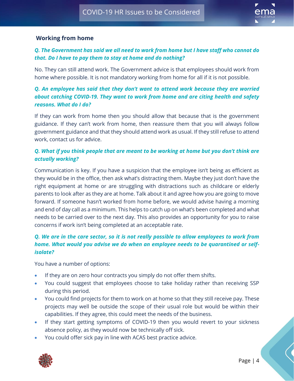

#### **Working from home**

## *Q. The Government has said we all need to work from home but I have staff who cannot do that. Do I have to pay them to stay at home and do nothing?*

No. They can still attend work. The Government advice is that employees should work from home where possible. It is not mandatory working from home for all if it is not possible.

# *Q. An employee has said that they don't want to attend work because they are worried about catching COVID-19. They want to work from home and are citing health and safety reasons. What do I do?*

If they can work from home then you should allow that because that is the government guidance. If they can't work from home, then reassure them that you will always follow government guidance and that they should attend work as usual. If they still refuse to attend work, contact us for advice.

#### *Q. What if you think people that are meant to be working at home but you don't think are actually working?*

Communication is key. If you have a suspicion that the employee isn't being as efficient as they would be in the office, then ask what's distracting them. Maybe they just don't have the right equipment at home or are struggling with distractions such as childcare or elderly parents to look after as they are at home. Talk about it and agree how you are going to move forward. If someone hasn't worked from home before, we would advise having a morning and end of day call as a minimum. This helps to catch up on what's been completed and what needs to be carried over to the next day. This also provides an opportunity for you to raise concerns if work isn't being completed at an acceptable rate.

#### *Q. We are in the care sector, so it is not really possible to allow employees to work from home. What would you advise we do when an employee needs to be quarantined or selfisolate?*

You have a number of options:

- If they are on zero hour contracts you simply do not offer them shifts.
- You could suggest that employees choose to take holiday rather than receiving SSP during this period.
- You could find projects for them to work on at home so that they still receive pay. These projects may well be outside the scope of their usual role but would be within their capabilities. If they agree, this could meet the needs of the business.
- If they start getting symptoms of COVID-19 then you would revert to your sickness absence policy, as they would now be technically off sick.
- You could offer sick pay in line with ACAS best practice advice.

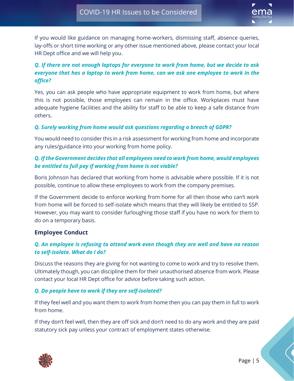

If you would like guidance on managing home-workers, dismissing staff, absence queries, lay-offs or short time working or any other issue mentioned above, please contact your local HR Dept office and we will help you.

# *Q. If there are not enough laptops for everyone to work from home, but we decide to ask everyone that has a laptop to work from home, can we ask one employee to work in the office?*

Yes, you can ask people who have appropriate equipment to work from home, but where this is not possible, those employees can remain in the office. Workplaces must have adequate hygiene facilities and the ability for staff to be able to keep a safe distance from others.

#### *Q. Surely working from home would ask questions regarding a breach of GDPR?*

You would need to consider this in a risk assessment for working from home and incorporate any rules/guidance into your working from home policy.

#### *Q. If the Government decides that all employees need to work from home, would employees be entitled to full pay if working from home is not viable?*

Boris Johnson has declared that working from home is advisable where possible. If it is not possible, continue to allow these employees to work from the company premises.

If the Government decide to enforce working from home for all then those who can't work from home will be forced to self-isolate which means that they will likely be entitled to SSP. However, you may want to consider furloughing those staff if you have no work for them to do on a temporary basis.

#### **Employee Conduct**

#### *Q. An employee is refusing to attend work even though they are well and have no reason to self-isolate. What do I do?*

Discuss the reasons they are giving for not wanting to come to work and try to resolve them. Ultimately though, you can discipline them for their unauthorised absence from work. Please contact your local HR Dept office for advice before taking such action.

#### *Q. Do people have to work if they are self-isolated?*

If they feel well and you want them to work from home then you can pay them in full to work from home.

If they don't feel well, then they are off sick and don't need to do any work and they are paid statutory sick pay unless your contract of employment states otherwise.

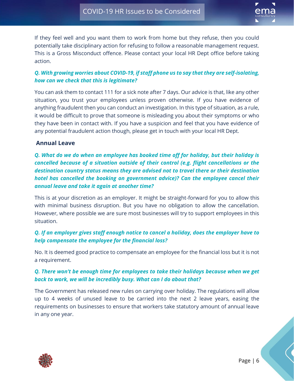

If they feel well and you want them to work from home but they refuse, then you could potentially take disciplinary action for refusing to follow a reasonable management request. This is a Gross Misconduct offence. Please contact your local HR Dept office before taking action.

# *Q. With growing worries about COVID-19, if staff phone us to say that they are self-isolating, how can we check that this is legitimate?*

You can ask them to contact 111 for a sick note after 7 days. Our advice is that, like any other situation, you trust your employees unless proven otherwise. If you have evidence of anything fraudulent then you can conduct an investigation. In this type of situation, as a rule, it would be difficult to prove that someone is misleading you about their symptoms or who they have been in contact with. If you have a suspicion and feel that you have evidence of any potential fraudulent action though, please get in touch with your local HR Dept.

#### **Annual Leave**

*Q. What do we do when an employee has booked time off for holiday, but their holiday is cancelled because of a situation outside of their control (e.g. flight cancellations or the destination country status means they are advised not to travel there or their destination hotel has cancelled the booking on government advice)? Can the employee cancel their annual leave and take it again at another time?*

This is at your discretion as an employer. It might be straight-forward for you to allow this with minimal business disruption. But you have no obligation to allow the cancellation. However, where possible we are sure most businesses will try to support employees in this situation.

# *Q. If an employer gives staff enough notice to cancel a holiday, does the employer have to help compensate the employee for the financial loss?*

No. It is deemed good practice to compensate an employee for the financial loss but it is not a requirement.

# *Q. There won't be enough time for employees to take their holidays because when we get back to work, we will be incredibly busy. What can I do about that?*

The Government has released new rules on carrying over holiday. The regulations will allow up to 4 weeks of unused leave to be carried into the next 2 leave years, easing the requirements on businesses to ensure that workers take statutory amount of annual leave in any one year.

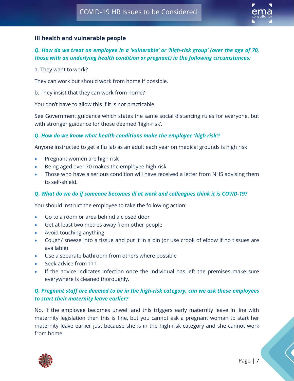

#### **Ill health and vulnerable people**

## *Q. How do we treat an employee in a 'vulnerable' or 'high-risk group' (over the age of 70, those with an underlying health condition or pregnant) in the following circumstances:*

a. They want to work?

They can work but should work from home if possible.

b. They insist that they can work from home?

You don't have to allow this if it is not practicable.

See Government guidance which states the same social distancing rules for everyone, but with stronger guidance for those deemed 'high-risk'.

#### *Q. How do we know what health conditions make the employee 'high risk'?*

Anyone instructed to get a flu jab as an adult each year on medical grounds is high risk

- Pregnant women are high risk
- Being aged over 70 makes the employee high risk
- Those who have a serious condition will have received a letter from NHS advising them to self-shield.

#### *Q. What do we do if someone becomes ill at work and colleagues think it is COVID-19?*

You should instruct the employee to take the following action:

- Go to a room or area behind a closed door
- Get at least two metres away from other people
- Avoid touching anything
- Cough/ sneeze into a tissue and put it in a bin (or use crook of elbow if no tissues are available)
- Use a separate bathroom from others where possible
- Seek advice from 111
- If the advice indicates infection once the individual has left the premises make sure everywhere is cleaned thoroughly.

## *Q. Pregnant staff are deemed to be in the high-risk category, can we ask these employees to start their maternity leave earlier?*

No. If the employee becomes unwell and this triggers early maternity leave in line with maternity legislation then this is fine, but you cannot ask a pregnant woman to start her maternity leave earlier just because she is in the high-risk category and she cannot work from home.

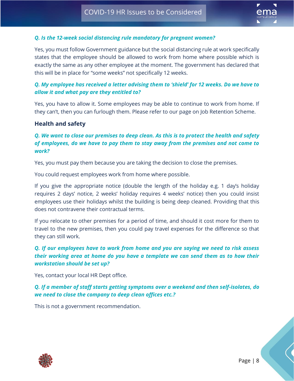

#### *Q. Is the 12-week social distancing rule mandatory for pregnant women?*

Yes, you must follow Government guidance but the social distancing rule at work specifically states that the employee should be allowed to work from home where possible which is exactly the same as any other employee at the moment. The government has declared that this will be in place for "some weeks" not specifically 12 weeks.

#### *Q. My employee has received a letter advising them to 'shield' for 12 weeks. Do we have to allow it and what pay are they entitled to?*

Yes, you have to allow it. Some employees may be able to continue to work from home. If they can't, then you can furlough them. Please refer to our page on Job Retention Scheme.

#### **Health and safety**

#### *Q. We want to close our premises to deep clean. As this is to protect the health and safety of employees, do we have to pay them to stay away from the premises and not come to work?*

Yes, you must pay them because you are taking the decision to close the premises.

You could request employees work from home where possible.

If you give the appropriate notice (double the length of the holiday e.g. 1 day's holiday requires 2 days' notice, 2 weeks' holiday requires 4 weeks' notice) then you could insist employees use their holidays whilst the building is being deep cleaned. Providing that this does not contravene their contractual terms.

If you relocate to other premises for a period of time, and should it cost more for them to travel to the new premises, then you could pay travel expenses for the difference so that they can still work.

# *Q. If our employees have to work from home and you are saying we need to risk assess their working area at home do you have a template we can send them as to how their workstation should be set up?*

Yes, contact your local HR Dept office.

*Q. If a member of staff starts getting symptoms over a weekend and then self-isolates, do we need to close the company to deep clean offices etc.?*

This is not a government recommendation.

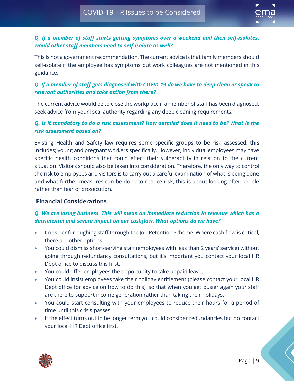

# *Q. If a member of staff starts getting symptoms over a weekend and then self-isolates, would other staff members need to self-isolate as well?*

This is not a government recommendation. The current advice is that family members should self-isolate if the employee has symptoms but work colleagues are not mentioned in this guidance.

# *Q. If a member of staff gets diagnosed with COVID-19 do we have to deep clean or speak to relevant authorities and take action from there?*

The current advice would be to close the workplace if a member of staff has been diagnosed, seek advice from your local authority regarding any deep cleaning requirements.

# *Q. Is it mandatory to do a risk assessment? How detailed does it need to be? What is the risk assessment based on?*

Existing Health and Safety law requires some specific groups to be risk assessed, this includes; young and pregnant workers specifically. However, individual employees may have specific health conditions that could effect their vulnerability in relation to the current situation. Visitors should also be taken into consideration. Therefore, the only way to control the risk to employees and visitors is to carry out a careful examination of what is being done and what further measures can be done to reduce risk, this is about looking after people rather than fear of prosecution.

# **Financial Considerations**

#### *Q. We are losing business. This will mean an immediate reduction in revenue which has a detrimental and severe impact on our cashflow. What options do we have?*

- Consider furloughing staff through the Job Retention Scheme. Where cash flow is critical, there are other options:
- You could dismiss short-serving staff (employees with less than 2 years' service) without going through redundancy consultations, but it's important you contact your local HR Dept office to discuss this first.
- You could offer employees the opportunity to take unpaid leave.
- You could insist employees take their holiday entitlement (please contact your local HR Dept office for advice on how to do this), so that when you get busier again your staff are there to support income generation rather than taking their holidays.
- You could start consulting with your employees to reduce their hours for a period of time until this crisis passes.
- If the effect turns out to be longer term you could consider redundancies but do contact your local HR Dept office first.